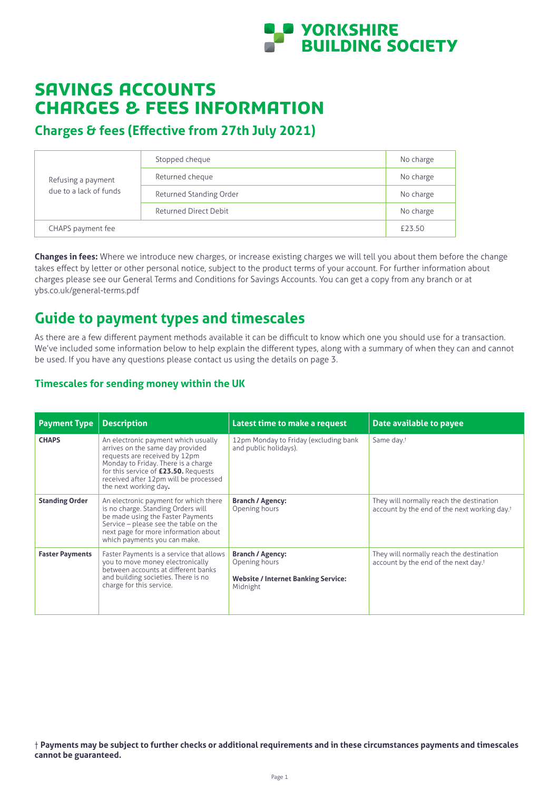

# savings accounts Charges & fees information

# **Charges & fees (Effective from 27th July 2021)**

| Refusing a payment<br>due to a lack of funds | Stopped cheque               | No charge |
|----------------------------------------------|------------------------------|-----------|
|                                              | Returned cheque              | No charge |
|                                              | Returned Standing Order      | No charge |
|                                              | <b>Returned Direct Debit</b> | No charge |
| CHAPS payment fee                            |                              | £23.50    |

**Changes in fees:** Where we introduce new charges, or increase existing charges we will tell you about them before the change takes effect by letter or other personal notice, subject to the product terms of your account. For further information about charges please see our General Terms and Conditions for Savings Accounts. You can get a copy from any branch or at ybs.co.uk/general-terms.pdf

# **Guide to payment types and timescales**

As there are a few different payment methods available it can be difficult to know which one you should use for a transaction. We've included some information below to help explain the different types, along with a summary of when they can and cannot be used. If you have any questions please contact us using the details on page 3.

### **Timescales for sending money within the UK**

| <b>Payment Type</b>    | <b>Description</b>                                                                                                                                                                                                                                        | Latest time to make a request                                                                      | Date available to payee                                                                              |
|------------------------|-----------------------------------------------------------------------------------------------------------------------------------------------------------------------------------------------------------------------------------------------------------|----------------------------------------------------------------------------------------------------|------------------------------------------------------------------------------------------------------|
| <b>CHAPS</b>           | An electronic payment which usually<br>arrives on the same day provided<br>requests are received by 12pm<br>Monday to Friday. There is a charge<br>for this service of £23.50. Requests<br>received after 12pm will be processed<br>the next working day. | 12pm Monday to Friday (excluding bank<br>and public holidays).                                     | Same day. <sup>†</sup>                                                                               |
| <b>Standing Order</b>  | An electronic payment for which there<br>is no charge. Standing Orders will<br>be made using the Faster Payments<br>Service - please see the table on the<br>next page for more information about<br>which payments you can make.                         | <b>Branch / Agency:</b><br>Opening hours                                                           | They will normally reach the destination<br>account by the end of the next working day. <sup>†</sup> |
| <b>Faster Payments</b> | Faster Payments is a service that allows<br>you to move money electronically<br>between accounts at different banks<br>and building societies. There is no<br>charge for this service.                                                                    | <b>Branch / Agency:</b><br>Opening hours<br><b>Website / Internet Banking Service:</b><br>Midnight | They will normally reach the destination<br>account by the end of the next day. <sup>†</sup>         |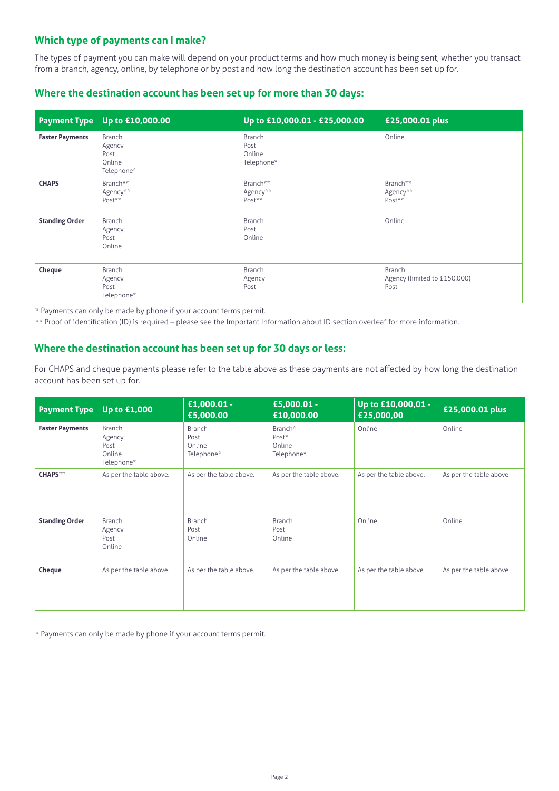## **Which type of payments can I make?**

The types of payment you can make will depend on your product terms and how much money is being sent, whether you transact from a branch, agency, online, by telephone or by post and how long the destination account has been set up for.

### **Where the destination account has been set up for more than 30 days:**

| <b>Payment Type</b>    | Up to £10,000.00                                 | Up to £10,000.01 - £25,000.00          | £25,000.01 plus                                |
|------------------------|--------------------------------------------------|----------------------------------------|------------------------------------------------|
| <b>Faster Payments</b> | Branch<br>Agency<br>Post<br>Online<br>Telephone* | Branch<br>Post<br>Online<br>Telephone* | Online                                         |
| <b>CHAPS</b>           | Branch**<br>Agency**<br>Post**                   | Branch**<br>Agency**<br>Post**         | Branch**<br>Agency**<br>Post**                 |
| <b>Standing Order</b>  | Branch<br>Agency<br>Post<br>Online               | Branch<br>Post<br>Online               | Online                                         |
| Cheque                 | Branch<br>Agency<br>Post<br>Telephone*           | <b>Branch</b><br>Agency<br>Post        | Branch<br>Agency (limited to £150,000)<br>Post |

\* Payments can only be made by phone if your account terms permit.

\*\* Proof of identification (ID) is required – please see the Important Information about ID section overleaf for more information.

### **Where the destination account has been set up for 30 days or less:**

For CHAPS and cheque payments please refer to the table above as these payments are not affected by how long the destination account has been set up for.

| <b>Payment Type</b>    | <b>Up to £1,000</b>                              | $£1,000.01 -$<br>£5,000.00             | £5,000.01 -<br>£10,000.00                | Up to £10,000,01 -<br>£25,000,00 | £25,000.01 plus         |
|------------------------|--------------------------------------------------|----------------------------------------|------------------------------------------|----------------------------------|-------------------------|
| <b>Faster Payments</b> | Branch<br>Agency<br>Post<br>Online<br>Telephone* | Branch<br>Post<br>Online<br>Telephone* | Branch*<br>Post*<br>Online<br>Telephone* | Online                           | Online                  |
| <b>CHAPS**</b>         | As per the table above.                          | As per the table above.                | As per the table above.                  | As per the table above.          | As per the table above. |
| <b>Standing Order</b>  | Branch<br>Agency<br>Post<br>Online               | Branch<br>Post<br>Online               | <b>Branch</b><br>Post<br>Online          | Online                           | Online                  |
| Cheque                 | As per the table above.                          | As per the table above.                | As per the table above.                  | As per the table above.          | As per the table above. |

\* Payments can only be made by phone if your account terms permit.